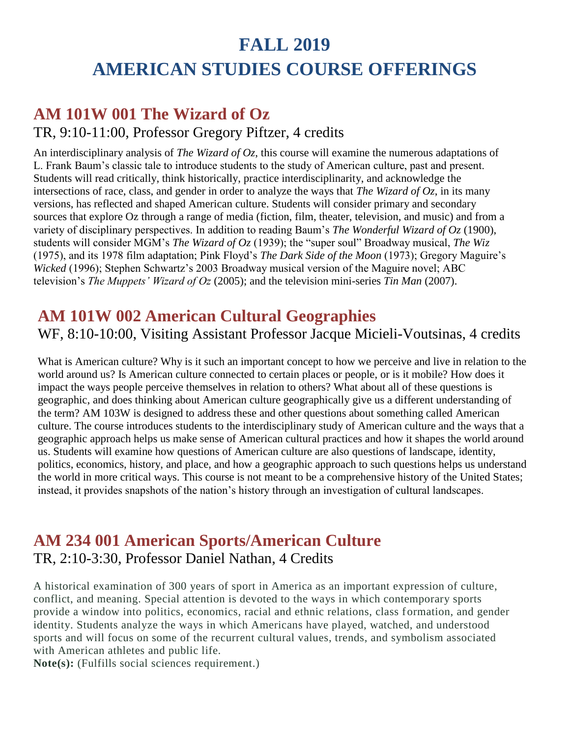# **FALL 2019 AMERICAN STUDIES COURSE OFFERINGS**

## **AM 101W 001 The Wizard of Oz**

#### TR, 9:10-11:00, Professor Gregory Piftzer, 4 credits

An interdisciplinary analysis of *The Wizard of Oz*, this course will examine the numerous adaptations of L. Frank Baum's classic tale to introduce students to the study of American culture, past and present. Students will read critically, think historically, practice interdisciplinarity, and acknowledge the intersections of race, class, and gender in order to analyze the ways that *The Wizard of Oz*, in its many versions, has reflected and shaped American culture. Students will consider primary and secondary sources that explore Oz through a range of media (fiction, film, theater, television, and music) and from a variety of disciplinary perspectives. In addition to reading Baum's *The Wonderful Wizard of Oz* (1900), students will consider MGM's *The Wizard of Oz* (1939); the "super soul" Broadway musical, *The Wiz*  (1975), and its 1978 film adaptation; Pink Floyd's *The Dark Side of the Moon* (1973); Gregory Maguire's *Wicked* (1996); Stephen Schwartz's 2003 Broadway musical version of the Maguire novel; ABC television's *The Muppets' Wizard of Oz* (2005); and the television mini-series *Tin Man* (2007).

## **AM 101W 002 American Cultural Geographies**

WF, 8:10-10:00, Visiting Assistant Professor Jacque Micieli-Voutsinas, 4 credits

What is American culture? Why is it such an important concept to how we perceive and live in relation to the world around us? Is American culture connected to certain places or people, or is it mobile? How does it impact the ways people perceive themselves in relation to others? What about all of these questions is geographic, and does thinking about American culture geographically give us a different understanding of the term? AM 103W is designed to address these and other questions about something called American culture. The course introduces students to the interdisciplinary study of American culture and the ways that a geographic approach helps us make sense of American cultural practices and how it shapes the world around us. Students will examine how questions of American culture are also questions of landscape, identity, politics, economics, history, and place, and how a geographic approach to such questions helps us understand the world in more critical ways. This course is not meant to be a comprehensive history of the United States; instead, it provides snapshots of the nation's history through an investigation of cultural landscapes.

## **AM 234 001 American Sports/American Culture** TR, 2:10-3:30, Professor Daniel Nathan, 4 Credits

A historical examination of 300 years of sport in America as an important expression of culture, conflict, and meaning. Special attention is devoted to the ways in which contemporary sports provide a window into politics, economics, racial and ethnic relations, class formation, and gender identity. Students analyze the ways in which Americans have played, watched, and understood sports and will focus on some of the recurrent cultural values, trends, and symbolism associated with American athletes and public life.

**Note(s):** (Fulfills social sciences requirement.)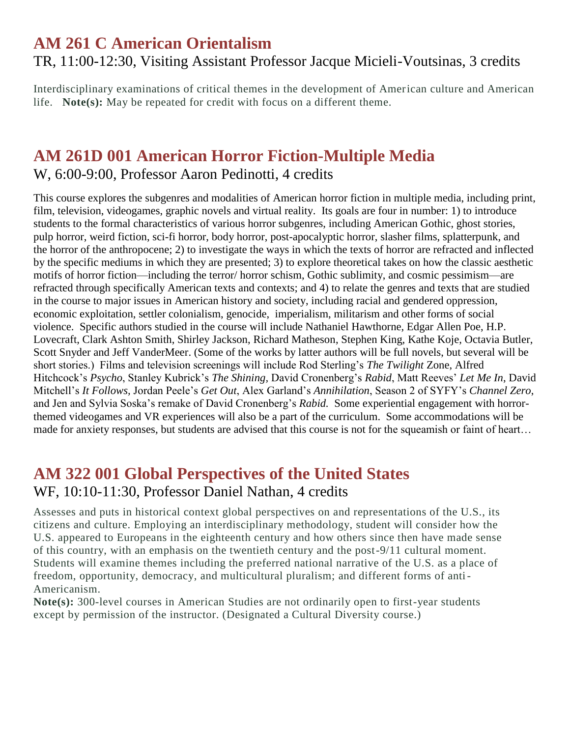### **AM 261 C American Orientalism** TR, 11:00-12:30, Visiting Assistant Professor Jacque Micieli-Voutsinas, 3 credits

Interdisciplinary examinations of critical themes in the development of American culture and American life. **Note(s):** May be repeated for credit with focus on a different theme.

#### **AM 261D 001 American Horror Fiction-Multiple Media** W, 6:00-9:00, Professor Aaron Pedinotti, 4 credits

This course explores the subgenres and modalities of American horror fiction in multiple media, including print, film, television, videogames, graphic novels and virtual reality. Its goals are four in number: 1) to introduce students to the formal characteristics of various horror subgenres, including American Gothic, ghost stories, pulp horror, weird fiction, sci-fi horror, body horror, post-apocalyptic horror, slasher films, splatterpunk, and the horror of the anthropocene; 2) to investigate the ways in which the texts of horror are refracted and inflected by the specific mediums in which they are presented; 3) to explore theoretical takes on how the classic aesthetic motifs of horror fiction—including the terror/ horror schism, Gothic sublimity, and cosmic pessimism—are refracted through specifically American texts and contexts; and 4) to relate the genres and texts that are studied in the course to major issues in American history and society, including racial and gendered oppression, economic exploitation, settler colonialism, genocide, imperialism, militarism and other forms of social violence. Specific authors studied in the course will include Nathaniel Hawthorne, Edgar Allen Poe, H.P. Lovecraft, Clark Ashton Smith, Shirley Jackson, Richard Matheson, Stephen King, Kathe Koje, Octavia Butler, Scott Snyder and Jeff VanderMeer. (Some of the works by latter authors will be full novels, but several will be short stories.) Films and television screenings will include Rod Sterling's *The Twilight* Zone, Alfred Hitchcock's *Psycho*, Stanley Kubrick's *The Shining,* David Cronenberg's *Rabid*, Matt Reeves' *Let Me In*, David Mitchell's *It Follows,* Jordan Peele's *Get Out*, Alex Garland's *Annihilation*, Season 2 of SYFY's *Channel Zero*, and Jen and Sylvia Soska's remake of David Cronenberg's *Rabid.* Some experiential engagement with horrorthemed videogames and VR experiences will also be a part of the curriculum. Some accommodations will be made for anxiety responses, but students are advised that this course is not for the squeamish or faint of heart…

### **AM 322 001 Global Perspectives of the United States** WF, 10:10-11:30, Professor Daniel Nathan, 4 credits

Assesses and puts in historical context global perspectives on and representations of the U.S., its citizens and culture. Employing an interdisciplinary methodology, student will consider how the U.S. appeared to Europeans in the eighteenth century and how others since then have made sense of this country, with an emphasis on the twentieth century and the post-9/11 cultural moment. Students will examine themes including the preferred national narrative of the U.S. as a place of freedom, opportunity, democracy, and multicultural pluralism; and different forms of anti-Americanism.

**Note(s):** 300-level courses in American Studies are not ordinarily open to first-year students except by permission of the instructor. (Designated a Cultural Diversity course.)